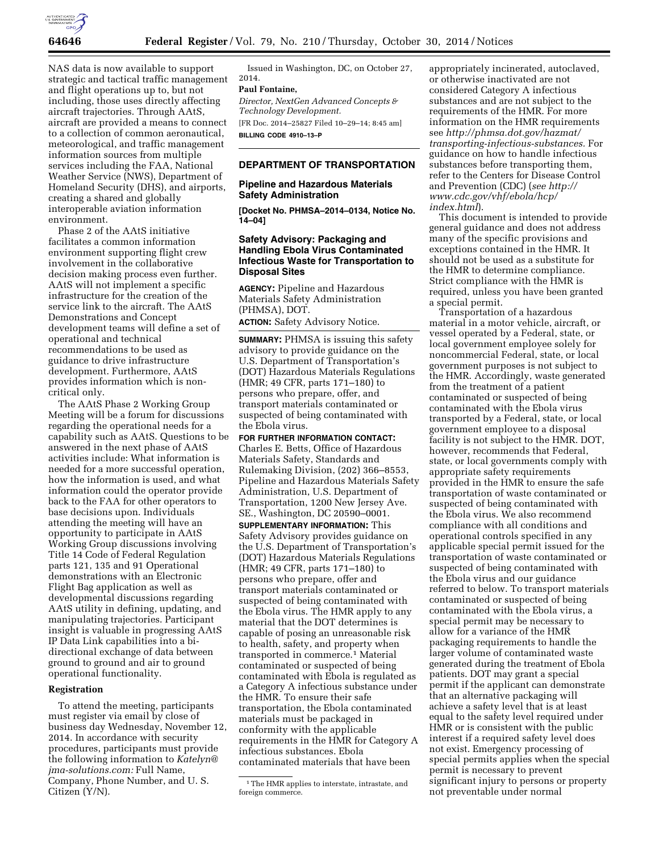

NAS data is now available to support strategic and tactical traffic management and flight operations up to, but not including, those uses directly affecting aircraft trajectories. Through AAtS, aircraft are provided a means to connect to a collection of common aeronautical, meteorological, and traffic management information sources from multiple services including the FAA, National Weather Service (NWS), Department of Homeland Security (DHS), and airports, creating a shared and globally interoperable aviation information environment.

Phase 2 of the AAtS initiative facilitates a common information environment supporting flight crew involvement in the collaborative decision making process even further. AAtS will not implement a specific infrastructure for the creation of the service link to the aircraft. The AAtS Demonstrations and Concept development teams will define a set of operational and technical recommendations to be used as guidance to drive infrastructure development. Furthermore, AAtS provides information which is noncritical only.

The AAtS Phase 2 Working Group Meeting will be a forum for discussions regarding the operational needs for a capability such as AAtS. Questions to be answered in the next phase of AAtS activities include: What information is needed for a more successful operation, how the information is used, and what information could the operator provide back to the FAA for other operators to base decisions upon. Individuals attending the meeting will have an opportunity to participate in AAtS Working Group discussions involving Title 14 Code of Federal Regulation parts 121, 135 and 91 Operational demonstrations with an Electronic Flight Bag application as well as developmental discussions regarding AAtS utility in defining, updating, and manipulating trajectories. Participant insight is valuable in progressing AAtS IP Data Link capabilities into a bidirectional exchange of data between ground to ground and air to ground operational functionality.

### **Registration**

To attend the meeting, participants must register via email by close of business day Wednesday, November 12, 2014. In accordance with security procedures, participants must provide the following information to *[Katelyn@](mailto:Katelyn@) jma-solutions.com:* Full Name, Company, Phone Number, and U. S. Citizen (Y/N).

Issued in Washington, DC, on October 27, 2014.

# **Paul Fontaine,**

*Director, NextGen Advanced Concepts & Technology Development.* 

[FR Doc. 2014–25827 Filed 10–29–14; 8:45 am] **BILLING CODE 4910–13–P** 

## **DEPARTMENT OF TRANSPORTATION**

### **Pipeline and Hazardous Materials Safety Administration**

**[Docket No. PHMSA–2014–0134, Notice No. 14–04]** 

## **Safety Advisory: Packaging and Handling Ebola Virus Contaminated Infectious Waste for Transportation to Disposal Sites**

**AGENCY:** Pipeline and Hazardous Materials Safety Administration (PHMSA), DOT.

**ACTION:** Safety Advisory Notice.

**SUMMARY:** PHMSA is issuing this safety advisory to provide guidance on the U.S. Department of Transportation's (DOT) Hazardous Materials Regulations (HMR; 49 CFR, parts 171–180) to persons who prepare, offer, and transport materials contaminated or suspected of being contaminated with the Ebola virus.

**FOR FURTHER INFORMATION CONTACT:**  Charles E. Betts, Office of Hazardous Materials Safety, Standards and Rulemaking Division, (202) 366–8553, Pipeline and Hazardous Materials Safety Administration, U.S. Department of Transportation, 1200 New Jersey Ave. SE., Washington, DC 20590–0001.

**SUPPLEMENTARY INFORMATION:** This Safety Advisory provides guidance on the U.S. Department of Transportation's (DOT) Hazardous Materials Regulations (HMR; 49 CFR, parts 171–180) to persons who prepare, offer and transport materials contaminated or suspected of being contaminated with the Ebola virus. The HMR apply to any material that the DOT determines is capable of posing an unreasonable risk to health, safety, and property when transported in commerce.<sup>1</sup> Material contaminated or suspected of being contaminated with Ebola is regulated as a Category A infectious substance under the HMR. To ensure their safe transportation, the Ebola contaminated materials must be packaged in conformity with the applicable requirements in the HMR for Category A infectious substances. Ebola contaminated materials that have been

appropriately incinerated, autoclaved, or otherwise inactivated are not considered Category A infectious substances and are not subject to the requirements of the HMR. For more information on the HMR requirements see *[http://phmsa.dot.gov/hazmat/](http://phmsa.dot.gov/hazmat/transporting-infectious-substances) [transporting-infectious-substances.](http://phmsa.dot.gov/hazmat/transporting-infectious-substances)* For guidance on how to handle infectious substances before transporting them, refer to the Centers for Disease Control and Prevention (CDC) (*see [http://](http://www.cdc.gov/vhf/ebola/hcp/index.html) [www.cdc.gov/vhf/ebola/hcp/](http://www.cdc.gov/vhf/ebola/hcp/index.html) [index.html](http://www.cdc.gov/vhf/ebola/hcp/index.html)*).

This document is intended to provide general guidance and does not address many of the specific provisions and exceptions contained in the HMR. It should not be used as a substitute for the HMR to determine compliance. Strict compliance with the HMR is required, unless you have been granted a special permit.

Transportation of a hazardous material in a motor vehicle, aircraft, or vessel operated by a Federal, state, or local government employee solely for noncommercial Federal, state, or local government purposes is not subject to the HMR. Accordingly, waste generated from the treatment of a patient contaminated or suspected of being contaminated with the Ebola virus transported by a Federal, state, or local government employee to a disposal facility is not subject to the HMR. DOT, however, recommends that Federal, state, or local governments comply with appropriate safety requirements provided in the HMR to ensure the safe transportation of waste contaminated or suspected of being contaminated with the Ebola virus. We also recommend compliance with all conditions and operational controls specified in any applicable special permit issued for the transportation of waste contaminated or suspected of being contaminated with the Ebola virus and our guidance referred to below. To transport materials contaminated or suspected of being contaminated with the Ebola virus, a special permit may be necessary to allow for a variance of the HMR packaging requirements to handle the larger volume of contaminated waste generated during the treatment of Ebola patients. DOT may grant a special permit if the applicant can demonstrate that an alternative packaging will achieve a safety level that is at least equal to the safety level required under HMR or is consistent with the public interest if a required safety level does not exist. Emergency processing of special permits applies when the special permit is necessary to prevent significant injury to persons or property not preventable under normal

<sup>&</sup>lt;sup>1</sup>The HMR applies to interstate, intrastate, and foreign commerce.